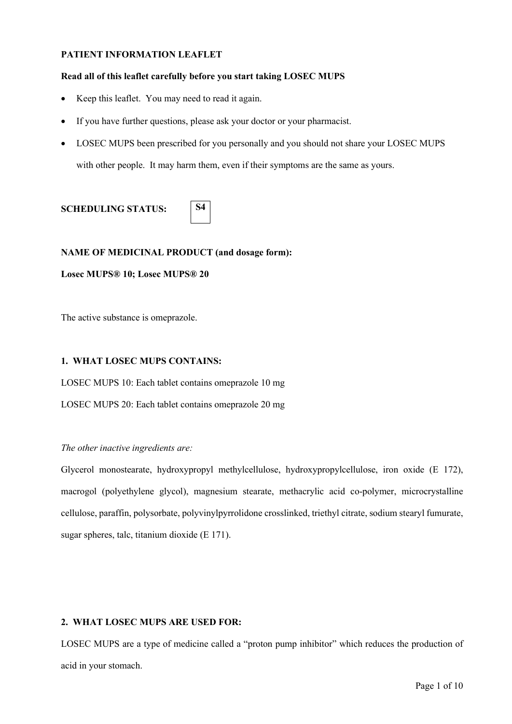### **PATIENT INFORMATION LEAFLET**

### **Read all of this leaflet carefully before you start taking LOSEC MUPS**

- Keep this leaflet. You may need to read it again.
- If you have further questions, please ask your doctor or your pharmacist.

**S4**

• LOSEC MUPS been prescribed for you personally and you should not share your LOSEC MUPS with other people. It may harm them, even if their symptoms are the same as yours.

# **SCHEDULING STATUS:**

### **NAME OF MEDICINAL PRODUCT (and dosage form):**

#### **Losec MUPS® 10; Losec MUPS® 20**

The active substance is omeprazole.

### **1. WHAT LOSEC MUPS CONTAINS:**

LOSEC MUPS 10: Each tablet contains omeprazole 10 mg

LOSEC MUPS 20: Each tablet contains omeprazole 20 mg

#### *The other inactive ingredients are:*

Glycerol monostearate, hydroxypropyl methylcellulose, hydroxypropylcellulose, iron oxide (E 172), macrogol (polyethylene glycol), magnesium stearate, methacrylic acid co-polymer, microcrystalline cellulose, paraffin, polysorbate, polyvinylpyrrolidone crosslinked, triethyl citrate, sodium stearyl fumurate, sugar spheres, talc, titanium dioxide (E 171).

#### **2. WHAT LOSEC MUPS ARE USED FOR:**

LOSEC MUPS are a type of medicine called a "proton pump inhibitor" which reduces the production of acid in your stomach.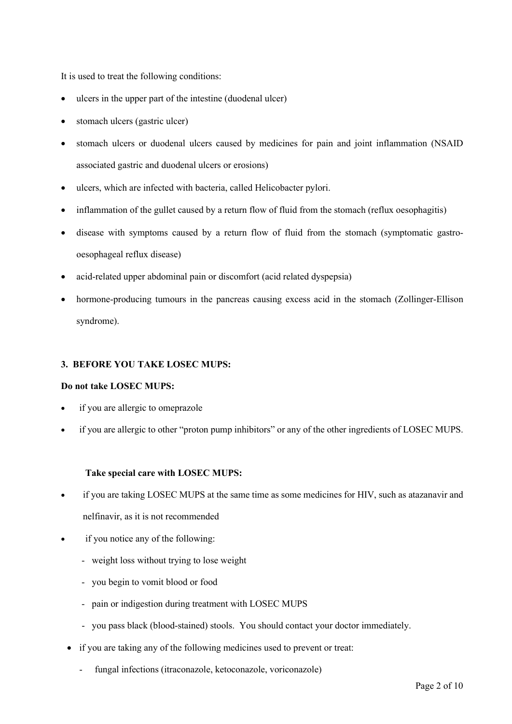It is used to treat the following conditions:

- ulcers in the upper part of the intestine (duodenal ulcer)
- stomach ulcers (gastric ulcer)
- stomach ulcers or duodenal ulcers caused by medicines for pain and joint inflammation (NSAID associated gastric and duodenal ulcers or erosions)
- ulcers, which are infected with bacteria, called Helicobacter pylori.
- inflammation of the gullet caused by a return flow of fluid from the stomach (reflux oesophagitis)
- disease with symptoms caused by a return flow of fluid from the stomach (symptomatic gastrooesophageal reflux disease)
- acid-related upper abdominal pain or discomfort (acid related dyspepsia)
- hormone-producing tumours in the pancreas causing excess acid in the stomach (Zollinger-Ellison syndrome).

### **3. BEFORE YOU TAKE LOSEC MUPS:**

#### **Do not take LOSEC MUPS:**

- if you are allergic to omeprazole
- if you are allergic to other "proton pump inhibitors" or any of the other ingredients of LOSEC MUPS.

## **Take special care with LOSEC MUPS:**

- if you are taking LOSEC MUPS at the same time as some medicines for HIV, such as atazanavir and nelfinavir, as it is not recommended
- if you notice any of the following:
	- weight loss without trying to lose weight
	- you begin to vomit blood or food
	- pain or indigestion during treatment with LOSEC MUPS
	- you pass black (blood-stained) stools. You should contact your doctor immediately.
	- if you are taking any of the following medicines used to prevent or treat:
		- fungal infections (itraconazole, ketoconazole, voriconazole)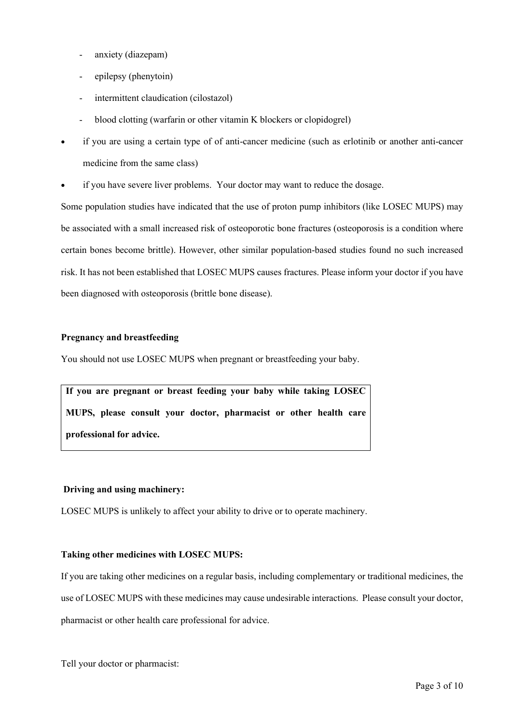- anxiety (diazepam)
- epilepsy (phenytoin)
- intermittent claudication (cilostazol)
- blood clotting (warfarin or other vitamin K blockers or clopidogrel)
- if you are using a certain type of of anti-cancer medicine (such as erlotinib or another anti-cancer medicine from the same class)
- if you have severe liver problems. Your doctor may want to reduce the dosage.

Some population studies have indicated that the use of proton pump inhibitors (like LOSEC MUPS) may be associated with a small increased risk of osteoporotic bone fractures (osteoporosis is a condition where certain bones become brittle). However, other similar population-based studies found no such increased risk. It has not been established that LOSEC MUPS causes fractures. Please inform your doctor if you have been diagnosed with osteoporosis (brittle bone disease).

#### **Pregnancy and breastfeeding**

You should not use LOSEC MUPS when pregnant or breastfeeding your baby.

**If you are pregnant or breast feeding your baby while taking LOSEC MUPS, please consult your doctor, pharmacist or other health care professional for advice.**

## **Driving and using machinery:**

LOSEC MUPS is unlikely to affect your ability to drive or to operate machinery.

#### **Taking other medicines with LOSEC MUPS:**

If you are taking other medicines on a regular basis, including complementary or traditional medicines, the use of LOSEC MUPS with these medicines may cause undesirable interactions. Please consult your doctor, pharmacist or other health care professional for advice.

Tell your doctor or pharmacist: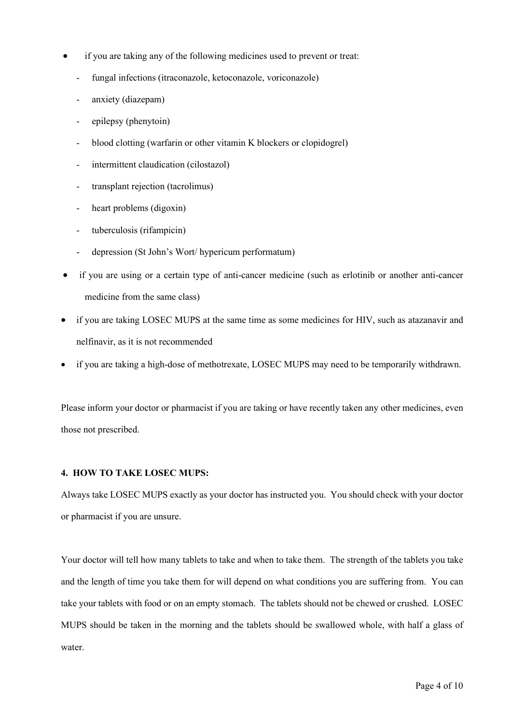- if you are taking any of the following medicines used to prevent or treat:
	- fungal infections (itraconazole, ketoconazole, voriconazole)
	- anxiety (diazepam)
	- epilepsy (phenytoin)
	- blood clotting (warfarin or other vitamin K blockers or clopidogrel)
	- intermittent claudication (cilostazol)
	- transplant rejection (tacrolimus)
	- heart problems (digoxin)
	- tuberculosis (rifampicin)
	- depression (St John's Wort/ hypericum performatum)
- if you are using or a certain type of anti-cancer medicine (such as erlotinib or another anti-cancer medicine from the same class)
- if you are taking LOSEC MUPS at the same time as some medicines for HIV, such as atazanavir and nelfinavir, as it is not recommended
- if you are taking a high-dose of methotrexate, LOSEC MUPS may need to be temporarily withdrawn.

Please inform your doctor or pharmacist if you are taking or have recently taken any other medicines, even those not prescribed.

#### **4. HOW TO TAKE LOSEC MUPS:**

Always take LOSEC MUPS exactly as your doctor has instructed you. You should check with your doctor or pharmacist if you are unsure.

Your doctor will tell how many tablets to take and when to take them. The strength of the tablets you take and the length of time you take them for will depend on what conditions you are suffering from. You can take your tablets with food or on an empty stomach. The tablets should not be chewed or crushed. LOSEC MUPS should be taken in the morning and the tablets should be swallowed whole, with half a glass of water.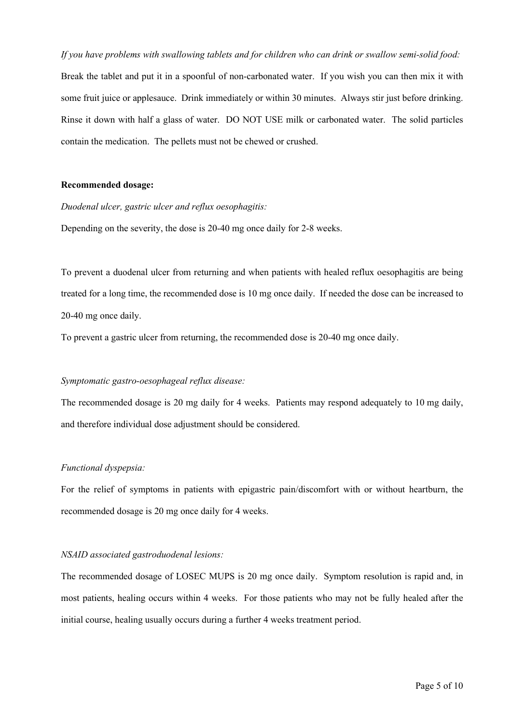*If you have problems with swallowing tablets and for children who can drink or swallow semi-solid food:* Break the tablet and put it in a spoonful of non-carbonated water. If you wish you can then mix it with some fruit juice or applesauce. Drink immediately or within 30 minutes. Always stir just before drinking. Rinse it down with half a glass of water. DO NOT USE milk or carbonated water. The solid particles contain the medication. The pellets must not be chewed or crushed.

#### **Recommended dosage:**

*Duodenal ulcer, gastric ulcer and reflux oesophagitis:*

Depending on the severity, the dose is 20-40 mg once daily for 2-8 weeks.

To prevent a duodenal ulcer from returning and when patients with healed reflux oesophagitis are being treated for a long time, the recommended dose is 10 mg once daily. If needed the dose can be increased to 20-40 mg once daily.

To prevent a gastric ulcer from returning, the recommended dose is 20-40 mg once daily.

#### *Symptomatic gastro-oesophageal reflux disease:*

The recommended dosage is 20 mg daily for 4 weeks. Patients may respond adequately to 10 mg daily, and therefore individual dose adjustment should be considered.

#### *Functional dyspepsia:*

For the relief of symptoms in patients with epigastric pain/discomfort with or without heartburn, the recommended dosage is 20 mg once daily for 4 weeks.

#### *NSAID associated gastroduodenal lesions:*

The recommended dosage of LOSEC MUPS is 20 mg once daily. Symptom resolution is rapid and, in most patients, healing occurs within 4 weeks. For those patients who may not be fully healed after the initial course, healing usually occurs during a further 4 weeks treatment period.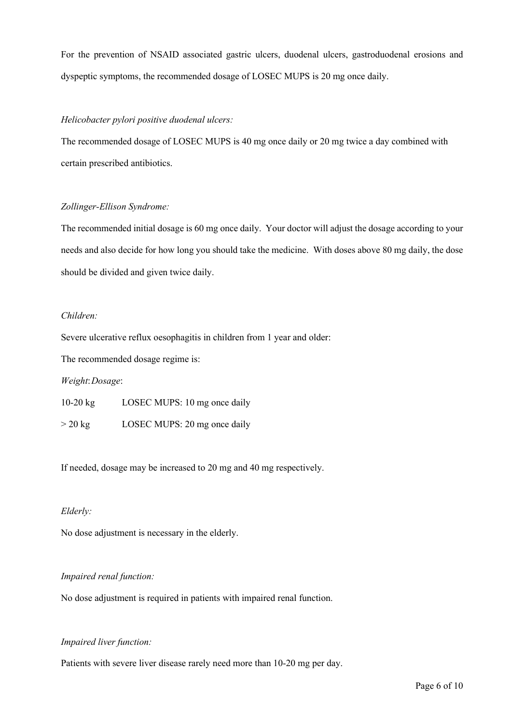For the prevention of NSAID associated gastric ulcers, duodenal ulcers, gastroduodenal erosions and dyspeptic symptoms, the recommended dosage of LOSEC MUPS is 20 mg once daily.

#### *Helicobacter pylori positive duodenal ulcers:*

The recommended dosage of LOSEC MUPS is 40 mg once daily or 20 mg twice a day combined with certain prescribed antibiotics.

#### *Zollinger-Ellison Syndrome:*

The recommended initial dosage is 60 mg once daily. Your doctor will adjust the dosage according to your needs and also decide for how long you should take the medicine. With doses above 80 mg daily, the dose should be divided and given twice daily.

### *Children:*

Severe ulcerative reflux oesophagitis in children from 1 year and older:

The recommended dosage regime is:

#### *Weight*:*Dosage*:

10-20 kg LOSEC MUPS: 10 mg once daily > 20 kg LOSEC MUPS: 20 mg once daily

If needed, dosage may be increased to 20 mg and 40 mg respectively.

#### *Elderly:*

No dose adjustment is necessary in the elderly.

#### *Impaired renal function:*

No dose adjustment is required in patients with impaired renal function.

#### *Impaired liver function:*

Patients with severe liver disease rarely need more than 10-20 mg per day.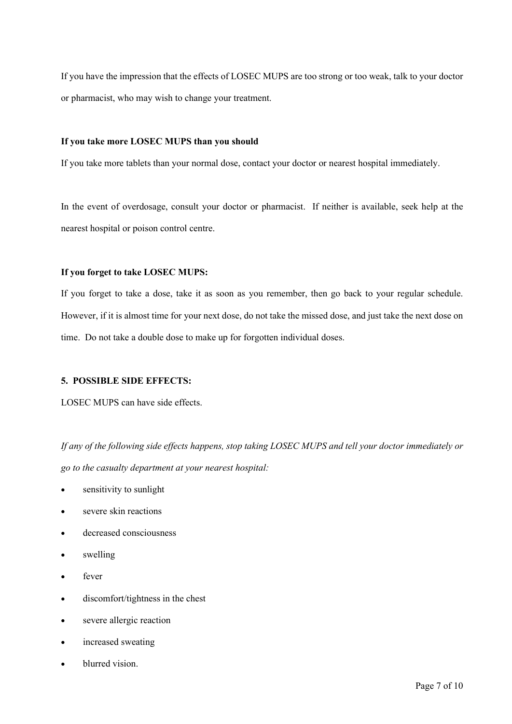If you have the impression that the effects of LOSEC MUPS are too strong or too weak, talk to your doctor or pharmacist, who may wish to change your treatment.

#### **If you take more LOSEC MUPS than you should**

If you take more tablets than your normal dose, contact your doctor or nearest hospital immediately.

In the event of overdosage, consult your doctor or pharmacist. If neither is available, seek help at the nearest hospital or poison control centre.

#### **If you forget to take LOSEC MUPS:**

If you forget to take a dose, take it as soon as you remember, then go back to your regular schedule. However, if it is almost time for your next dose, do not take the missed dose, and just take the next dose on time. Do not take a double dose to make up for forgotten individual doses.

#### **5. POSSIBLE SIDE EFFECTS:**

LOSEC MUPS can have side effects.

*If any of the following side effects happens, stop taking LOSEC MUPS and tell your doctor immediately or go to the casualty department at your nearest hospital:*

- sensitivity to sunlight
- severe skin reactions
- decreased consciousness
- swelling
- fever
- discomfort/tightness in the chest
- severe allergic reaction
- increased sweating
- blurred vision.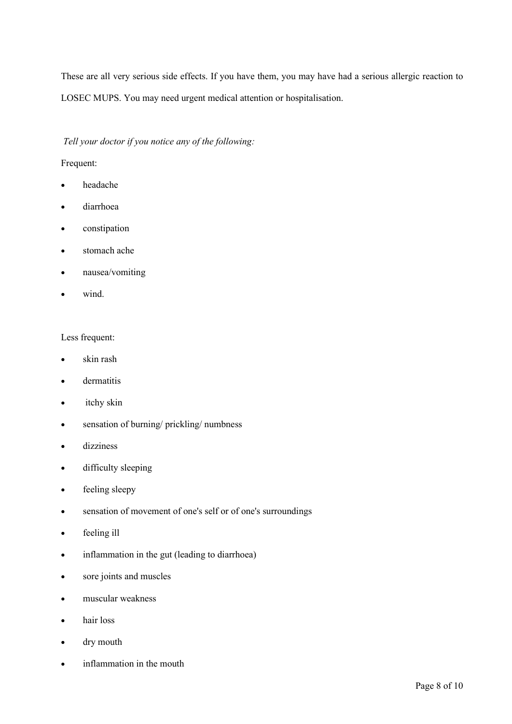These are all very serious side effects. If you have them, you may have had a serious allergic reaction to LOSEC MUPS. You may need urgent medical attention or hospitalisation.

### *Tell your doctor if you notice any of the following:*

### Frequent:

- headache
- diarrhoea
- constipation
- stomach ache
- nausea/vomiting
- wind.

#### Less frequent:

- skin rash
- dermatitis
- itchy skin
- sensation of burning/ prickling/ numbness
- dizziness
- difficulty sleeping
- feeling sleepy
- sensation of movement of one's self or of one's surroundings
- feeling ill
- inflammation in the gut (leading to diarrhoea)
- sore joints and muscles
- muscular weakness
- hair loss
- dry mouth
- inflammation in the mouth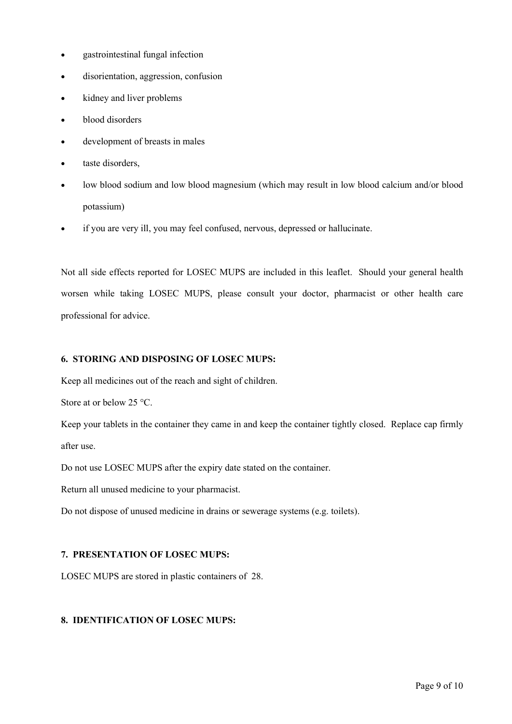- gastrointestinal fungal infection
- disorientation, aggression, confusion
- kidney and liver problems
- blood disorders
- development of breasts in males
- taste disorders,
- low blood sodium and low blood magnesium (which may result in low blood calcium and/or blood potassium)
- if you are very ill, you may feel confused, nervous, depressed or hallucinate.

Not all side effects reported for LOSEC MUPS are included in this leaflet. Should your general health worsen while taking LOSEC MUPS, please consult your doctor, pharmacist or other health care professional for advice.

## **6. STORING AND DISPOSING OF LOSEC MUPS:**

Keep all medicines out of the reach and sight of children.

Store at or below 25 °C.

Keep your tablets in the container they came in and keep the container tightly closed. Replace cap firmly after use.

Do not use LOSEC MUPS after the expiry date stated on the container.

Return all unused medicine to your pharmacist.

Do not dispose of unused medicine in drains or sewerage systems (e.g. toilets).

## **7. PRESENTATION OF LOSEC MUPS:**

LOSEC MUPS are stored in plastic containers of 28.

## **8. IDENTIFICATION OF LOSEC MUPS:**